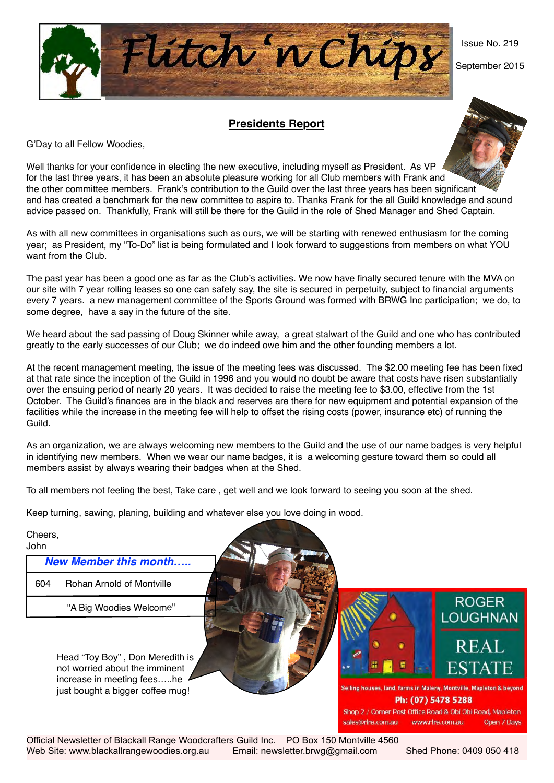Issue No. 219

September 2015

## **Presidents Report**

Flitch 'n Chips

G'Day to all Fellow Woodies,

Well thanks for your confidence in electing the new executive, including myself as President. As VP for the last three years, it has been an absolute pleasure working for all Club members with Frank and the other committee members. Frank's contribution to the Guild over the last three years has been significant and has created a benchmark for the new committee to aspire to. Thanks Frank for the all Guild knowledge and sound advice passed on. Thankfully, Frank will still be there for the Guild in the role of Shed Manager and Shed Captain.

As with all new committees in organisations such as ours, we will be starting with renewed enthusiasm for the coming year; as President, my "To-Do" list is being formulated and I look forward to suggestions from members on what YOU want from the Club.

The past year has been a good one as far as the Club's activities. We now have finally secured tenure with the MVA on our site with 7 year rolling leases so one can safely say, the site is secured in perpetuity, subject to financial arguments every 7 years. a new management committee of the Sports Ground was formed with BRWG Inc participation; we do, to some degree, have a say in the future of the site.

We heard about the sad passing of Doug Skinner while away, a great stalwart of the Guild and one who has contributed greatly to the early successes of our Club; we do indeed owe him and the other founding members a lot.

At the recent management meeting, the issue of the meeting fees was discussed. The \$2.00 meeting fee has been fixed at that rate since the inception of the Guild in 1996 and you would no doubt be aware that costs have risen substantially over the ensuing period of nearly 20 years. It was decided to raise the meeting fee to \$3.00, effective from the 1st October. The Guild's finances are in the black and reserves are there for new equipment and potential expansion of the facilities while the increase in the meeting fee will help to offset the rising costs (power, insurance etc) of running the Guild.

As an organization, we are always welcoming new members to the Guild and the use of our name badges is very helpful in identifying new members. When we wear our name badges, it is a welcoming gesture toward them so could all members assist by always wearing their badges when at the Shed.

To all members not feeling the best, Take care , get well and we look forward to seeing you soon at the shed.

Keep turning, sawing, planing, building and whatever else you love doing in wood.

#### Cheers, John

| <b>New Member this month</b> |                                 |  |  |  |  |  |  |
|------------------------------|---------------------------------|--|--|--|--|--|--|
|                              | 604   Rohan Arnold of Montville |  |  |  |  |  |  |
|                              | "A Big Woodies Welcome"         |  |  |  |  |  |  |

Head "Toy Boy" , Don Meredith is not worried about the imminent increase in meeting fees…..he just bought a bigger coffee mug!



sales@rlre.com.au

.<br>Selling houses, land, farms in Maleny, Montville, Mapleton & beyond Ph: (07) 5478 5288 Shop 2 / Corner Post Office Road & Obi Obi Road, Mapleton

www.rlre.com.au

Official Newsletter of Blackall Range Woodcrafters Guild Inc. PO Box 150 Montville 4560 Web Site: www.blackallrangewoodies.org.au Email: newsletter.brwg@gmail.com Shed Phone: 0409 050 418

Onen 7 Days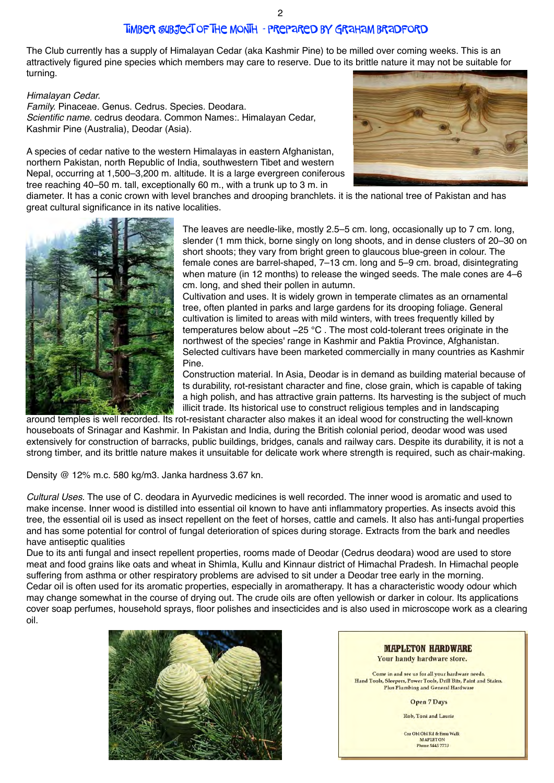# Timber Subject of the Month - prepared by Graham Bradford

The Club currently has a supply of Himalayan Cedar (aka Kashmir Pine) to be milled over coming weeks. This is an attractively figured pine species which members may care to reserve. Due to its brittle nature it may not be suitable for turning.

## *Himalayan Cedar.*

*Family.* Pinaceae. Genus. Cedrus. Species. Deodara. *Scientific name.* cedrus deodara. Common Names:. Himalayan Cedar, Kashmir Pine (Australia), Deodar (Asia).

A species of cedar native to the western Himalayas in eastern Afghanistan, northern Pakistan, north Republic of India, southwestern Tibet and western Nepal, occurring at 1,500–3,200 m. altitude. It is a large evergreen coniferous tree reaching 40–50 m. tall, exceptionally 60 m., with a trunk up to 3 m. in



diameter. It has a conic crown with level branches and drooping branchlets. it is the national tree of Pakistan and has great cultural significance in its native localities.



The leaves are needle-like, mostly 2.5–5 cm. long, occasionally up to 7 cm. long, slender (1 mm thick, borne singly on long shoots, and in dense clusters of 20–30 on short shoots; they vary from bright green to glaucous blue-green in colour. The female cones are barrel-shaped, 7–13 cm. long and 5–9 cm. broad, disintegrating when mature (in 12 months) to release the winged seeds. The male cones are 4–6 cm. long, and shed their pollen in autumn.

Cultivation and uses. It is widely grown in temperate climates as an ornamental tree, often planted in parks and large gardens for its drooping foliage. General cultivation is limited to areas with mild winters, with trees frequently killed by temperatures below about −25 °C . The most cold-tolerant trees originate in the northwest of the species' range in Kashmir and Paktia Province, Afghanistan. Selected cultivars have been marketed commercially in many countries as Kashmir Pine.

Construction material. In Asia, Deodar is in demand as building material because of ts durability, rot-resistant character and fine, close grain, which is capable of taking a high polish, and has attractive grain patterns. Its harvesting is the subject of much illicit trade. Its historical use to construct religious temples and in landscaping

around temples is well recorded. Its rot-resistant character also makes it an ideal wood for constructing the well-known houseboats of Srinagar and Kashmir. In Pakistan and India, during the British colonial period, deodar wood was used extensively for construction of barracks, public buildings, bridges, canals and railway cars. Despite its durability, it is not a strong timber, and its brittle nature makes it unsuitable for delicate work where strength is required, such as chair-making.

Density @ 12% m.c. 580 kg/m3. Janka hardness 3.67 kn.

*Cultural Uses.* The use of C. deodara in Ayurvedic medicines is well recorded. The inner wood is aromatic and used to make incense. Inner wood is distilled into essential oil known to have anti inflammatory properties. As insects avoid this tree, the essential oil is used as insect repellent on the feet of horses, cattle and camels. It also has anti-fungal properties and has some potential for control of fungal deterioration of spices during storage. Extracts from the bark and needles have antiseptic qualities

Due to its anti fungal and insect repellent properties, rooms made of Deodar (Cedrus deodara) wood are used to store meat and food grains like oats and wheat in Shimla, Kullu and Kinnaur district of Himachal Pradesh. In Himachal people suffering from asthma or other respiratory problems are advised to sit under a Deodar tree early in the morning. Cedar oil is often used for its aromatic properties, especially in aromatherapy. It has a characteristic woody odour which may change somewhat in the course of drying out. The crude oils are often yellowish or darker in colour. Its applications cover soap perfumes, household sprays, floor polishes and insecticides and is also used in microscope work as a clearing oil.



**MAPLETON HARDWARE** Your handy hardware store. Come in and see us for all your hardware needs. Hand Tools, Sleepers, Power Tools, Drill Bits, Paint and Stains. Plus Plumbing and General Hardware **Open 7 Days** 

Rob, Toni and Laurie

Cm Obi Obi Rd & Emu Walk MAPLETON Phone 5445 7773

2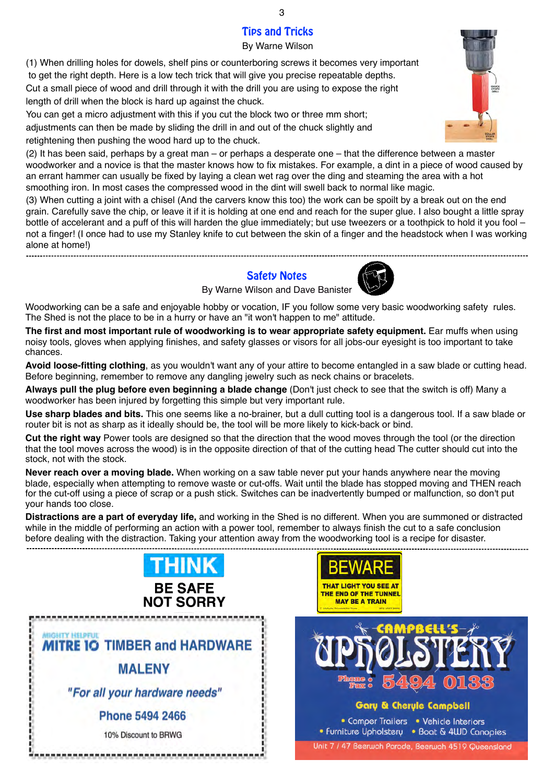# Tips and Tricks

By Warne Wilson

(1) When drilling holes for dowels, shelf pins or counterboring screws it becomes very important to get the right depth. Here is a low tech trick that will give you precise repeatable depths. Cut a small piece of wood and drill through it with the drill you are using to expose the right length of drill when the block is hard up against the chuck.

You can get a micro adjustment with this if you cut the block two or three mm short; adjustments can then be made by sliding the drill in and out of the chuck slightly and retightening then pushing the wood hard up to the chuck.

(2) It has been said, perhaps by a great man – or perhaps a desperate one – that the difference between a master woodworker and a novice is that the master knows how to fix mistakes. For example, a dint in a piece of wood caused by an errant hammer can usually be fixed by laying a clean wet rag over the ding and steaming the area with a hot smoothing iron. In most cases the compressed wood in the dint will swell back to normal like magic.

(3) When cutting a joint with a chisel (And the carvers know this too) the work can be spoilt by a break out on the end grain. Carefully save the chip, or leave it if it is holding at one end and reach for the super glue. I also bought a little spray bottle of accelerant and a puff of this will harden the glue immediately; but use tweezers or a toothpick to hold it you fool – not a finger! (I once had to use my Stanley knife to cut between the skin of a finger and the headstock when I was working alone at home!)

> Safety Notes By Warne Wilson and Dave Banister



Woodworking can be a safe and enjoyable hobby or vocation, IF you follow some very basic woodworking safety rules. The Shed is not the place to be in a hurry or have an "it won't happen to me" attitude.

**The first and most important rule of woodworking is to wear appropriate safety equipment.** Ear muffs when using noisy tools, gloves when applying finishes, and safety glasses or visors for all jobs-our eyesight is too important to take chances.

**Avoid loose-fitting clothing**, as you wouldn't want any of your attire to become entangled in a saw blade or cutting head. Before beginning, remember to remove any dangling jewelry such as neck chains or bracelets.

**Always pull the plug before even beginning a blade change** (Don't just check to see that the switch is off) Many a woodworker has been injured by forgetting this simple but very important rule.

**Use sharp blades and bits.** This one seems like a no-brainer, but a dull cutting tool is a dangerous tool. If a saw blade or router bit is not as sharp as it ideally should be, the tool will be more likely to kick-back or bind.

**Cut the right way** Power tools are designed so that the direction that the wood moves through the tool (or the direction that the tool moves across the wood) is in the opposite direction of that of the cutting head The cutter should cut into the stock, not with the stock.

**Never reach over a moving blade.** When working on a saw table never put your hands anywhere near the moving blade, especially when attempting to remove waste or cut-offs. Wait until the blade has stopped moving and THEN reach for the cut-off using a piece of scrap or a push stick. Switches can be inadvertently bumped or malfunction, so don't put your hands too close.

**Distractions are a part of everyday life,** and working in the Shed is no different. When you are summoned or distracted while in the middle of performing an action with a power tool, remember to always finish the cut to a safe conclusion before dealing with the distraction. Taking your attention away from the woodworking tool is a recipe for disaster.









3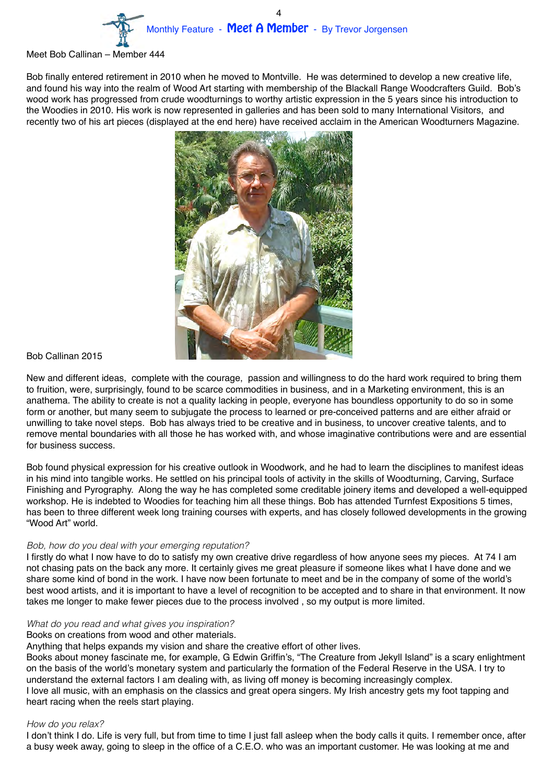

#### Meet Bob Callinan – Member 444

Bob finally entered retirement in 2010 when he moved to Montville. He was determined to develop a new creative life, and found his way into the realm of Wood Art starting with membership of the Blackall Range Woodcrafters Guild. Bob's wood work has progressed from crude woodturnings to worthy artistic expression in the 5 years since his introduction to the Woodies in 2010. His work is now represented in galleries and has been sold to many International Visitors, and recently two of his art pieces (displayed at the end here) have received acclaim in the American Woodturners Magazine.



## Bob Callinan 2015

New and different ideas, complete with the courage, passion and willingness to do the hard work required to bring them to fruition, were, surprisingly, found to be scarce commodities in business, and in a Marketing environment, this is an anathema. The ability to create is not a quality lacking in people, everyone has boundless opportunity to do so in some form or another, but many seem to subjugate the process to learned or pre-conceived patterns and are either afraid or unwilling to take novel steps. Bob has always tried to be creative and in business, to uncover creative talents, and to remove mental boundaries with all those he has worked with, and whose imaginative contributions were and are essential for business success.

Bob found physical expression for his creative outlook in Woodwork, and he had to learn the disciplines to manifest ideas in his mind into tangible works. He settled on his principal tools of activity in the skills of Woodturning, Carving, Surface Finishing and Pyrography. Along the way he has completed some creditable joinery items and developed a well-equipped workshop. He is indebted to Woodies for teaching him all these things. Bob has attended Turnfest Expositions 5 times, has been to three different week long training courses with experts, and has closely followed developments in the growing "Wood Art" world.

## *Bob, how do you deal with your emerging reputation?*

I firstly do what I now have to do to satisfy my own creative drive regardless of how anyone sees my pieces. At 74 I am not chasing pats on the back any more. It certainly gives me great pleasure if someone likes what I have done and we share some kind of bond in the work. I have now been fortunate to meet and be in the company of some of the world's best wood artists, and it is important to have a level of recognition to be accepted and to share in that environment. It now takes me longer to make fewer pieces due to the process involved , so my output is more limited.

## *What do you read and what gives you inspiration?*

## Books on creations from wood and other materials.

Anything that helps expands my vision and share the creative effort of other lives.

Books about money fascinate me, for example, G Edwin Griffin's, "The Creature from Jekyll Island" is a scary enlightment on the basis of the world's monetary system and particularly the formation of the Federal Reserve in the USA. I try to understand the external factors I am dealing with, as living off money is becoming increasingly complex. I love all music, with an emphasis on the classics and great opera singers. My Irish ancestry gets my foot tapping and heart racing when the reels start playing.

#### *How do you relax?*

I don't think I do. Life is very full, but from time to time I just fall asleep when the body calls it quits. I remember once, after a busy week away, going to sleep in the office of a C.E.O. who was an important customer. He was looking at me and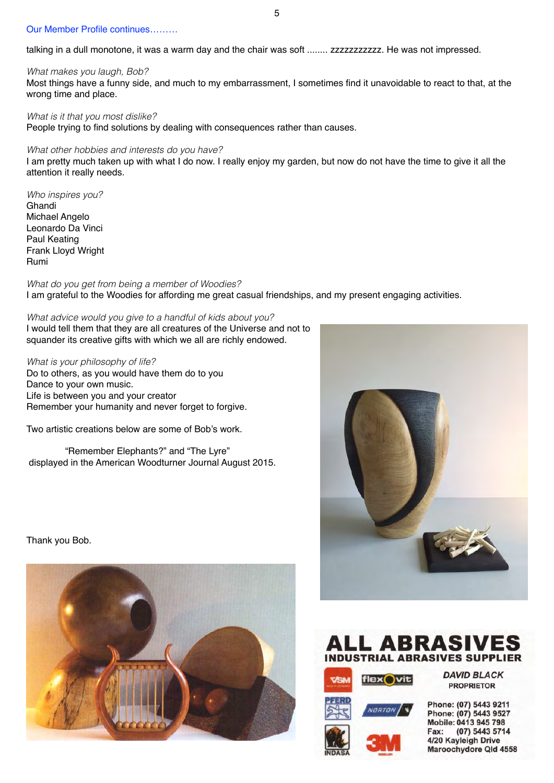## Our Member Profile continues………

talking in a dull monotone, it was a warm day and the chair was soft ........ zzzzzzzzzzz. He was not impressed.

#### *What makes you laugh, Bob?*

Most things have a funny side, and much to my embarrassment, I sometimes find it unavoidable to react to that, at the wrong time and place.

#### *What is it that you most dislike?*

People trying to find solutions by dealing with consequences rather than causes.

#### *What other hobbies and interests do you have?*

I am pretty much taken up with what I do now. I really enjoy my garden, but now do not have the time to give it all the attention it really needs.

*Who inspires you?* Ghandi Michael Angelo Leonardo Da Vinci Paul Keating Frank Lloyd Wright Rumi

*What do you get from being a member of Woodies?* I am grateful to the Woodies for affording me great casual friendships, and my present engaging activities.

*What advice would you give to a handful of kids about you?* I would tell them that they are all creatures of the Universe and not to squander its creative gifts with which we all are richly endowed.

*What is your philosophy of life?* Do to others, as you would have them do to you Dance to your own music. Life is between you and your creator Remember your humanity and never forget to forgive.

Two artistic creations below are some of Bob's work.

 "Remember Elephants?" and "The Lyre" displayed in the American Woodturner Journal August 2015.

Thank you Bob.







flex Vit

**DAVID BLACK PROPRIETOR** 

Phone: (07) 5443 9211 Phone: (07) 5443 9527 Mobile: 0413 945 798 Fax: (07) 5443 5714 4/20 Kayleigh Drive Maroochydore Qld 4558